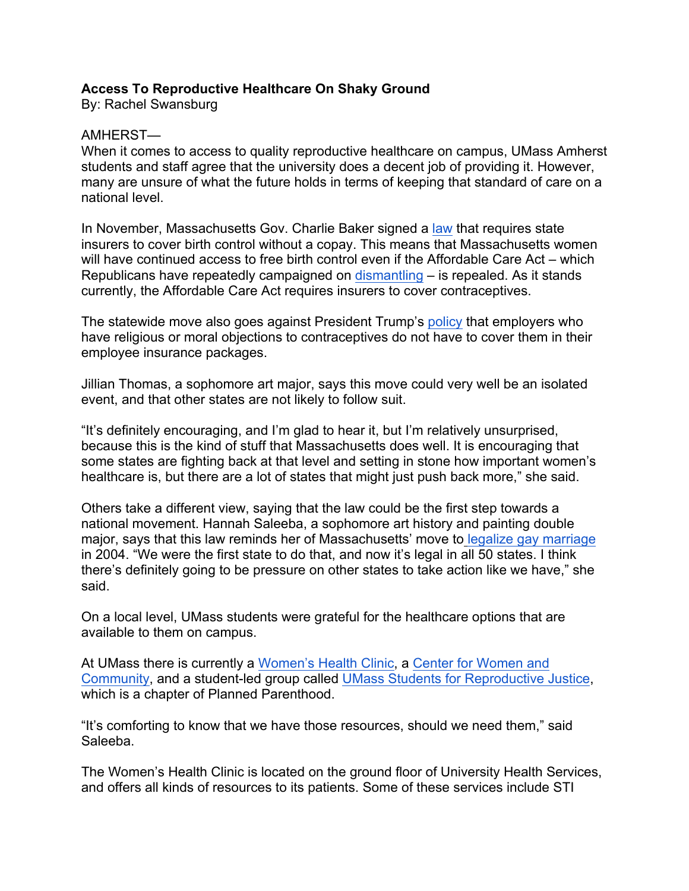## **Access To Reproductive Healthcare On Shaky Ground**

By: Rachel Swansburg

## AMHERST—

When it comes to access to quality reproductive healthcare on campus, UMass Amherst students and staff agree that the university does a decent job of providing it. However, many are unsure of what the future holds in terms of keeping that standard of care on a national level.

In November, Massachusetts Gov. Charlie Baker signed a law that requires state insurers to cover birth control without a copay. This means that Massachusetts women will have continued access to free birth control even if the Affordable Care Act – which Republicans have repeatedly campaigned on dismantling – is repealed. As it stands currently, the Affordable Care Act requires insurers to cover contraceptives.

The statewide move also goes against President Trump's policy that employers who have religious or moral objections to contraceptives do not have to cover them in their employee insurance packages.

Jillian Thomas, a sophomore art major, says this move could very well be an isolated event, and that other states are not likely to follow suit.

"It's definitely encouraging, and I'm glad to hear it, but I'm relatively unsurprised, because this is the kind of stuff that Massachusetts does well. It is encouraging that some states are fighting back at that level and setting in stone how important women's healthcare is, but there are a lot of states that might just push back more," she said.

Others take a different view, saying that the law could be the first step towards a national movement. Hannah Saleeba, a sophomore art history and painting double major, says that this law reminds her of Massachusetts' move to legalize gay marriage in 2004. "We were the first state to do that, and now it's legal in all 50 states. I think there's definitely going to be pressure on other states to take action like we have," she said.

On a local level, UMass students were grateful for the healthcare options that are available to them on campus.

At UMass there is currently a Women's Health Clinic, a Center for Women and Community, and a student-led group called UMass Students for Reproductive Justice, which is a chapter of Planned Parenthood.

"It's comforting to know that we have those resources, should we need them," said Saleeba.

The Women's Health Clinic is located on the ground floor of University Health Services, and offers all kinds of resources to its patients. Some of these services include STI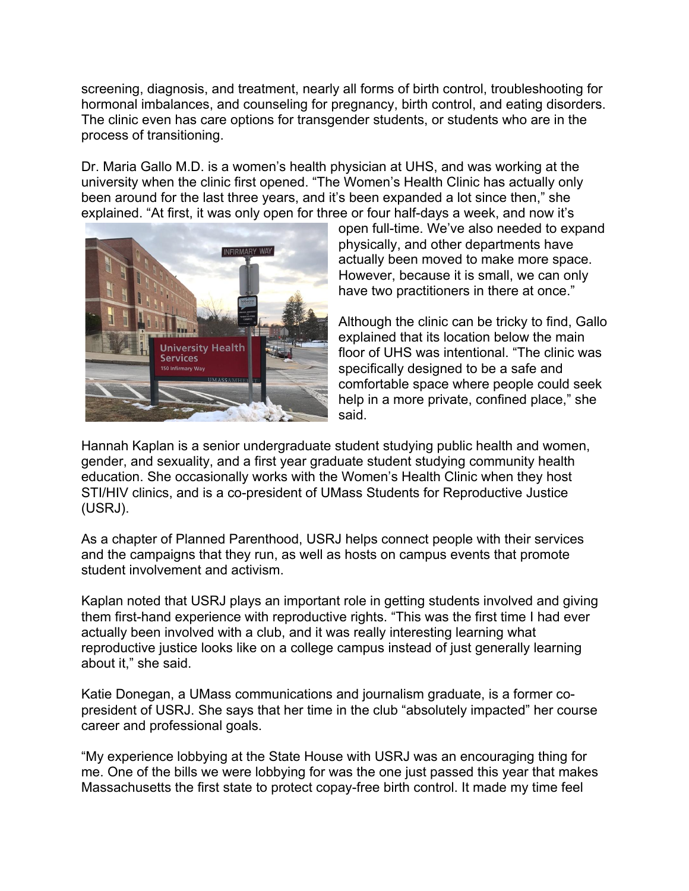screening, diagnosis, and treatment, nearly all forms of birth control, troubleshooting for hormonal imbalances, and counseling for pregnancy, birth control, and eating disorders. The clinic even has care options for transgender students, or students who are in the process of transitioning.

Dr. Maria Gallo M.D. is a women's health physician at UHS, and was working at the university when the clinic first opened. "The Women's Health Clinic has actually only been around for the last three years, and it's been expanded a lot since then," she explained. "At first, it was only open for three or four half-days a week, and now it's



open full-time. We've also needed to expand physically, and other departments have actually been moved to make more space. However, because it is small, we can only have two practitioners in there at once."

Although the clinic can be tricky to find, Gallo explained that its location below the main floor of UHS was intentional. "The clinic was specifically designed to be a safe and comfortable space where people could seek help in a more private, confined place," she said.

Hannah Kaplan is a senior undergraduate student studying public health and women, gender, and sexuality, and a first year graduate student studying community health education. She occasionally works with the Women's Health Clinic when they host STI/HIV clinics, and is a co-president of UMass Students for Reproductive Justice (USRJ).

As a chapter of Planned Parenthood, USRJ helps connect people with their services and the campaigns that they run, as well as hosts on campus events that promote student involvement and activism.

Kaplan noted that USRJ plays an important role in getting students involved and giving them first-hand experience with reproductive rights. "This was the first time I had ever actually been involved with a club, and it was really interesting learning what reproductive justice looks like on a college campus instead of just generally learning about it," she said.

Katie Donegan, a UMass communications and journalism graduate, is a former copresident of USRJ. She says that her time in the club "absolutely impacted" her course career and professional goals.

"My experience lobbying at the State House with USRJ was an encouraging thing for me. One of the bills we were lobbying for was the one just passed this year that makes Massachusetts the first state to protect copay-free birth control. It made my time feel